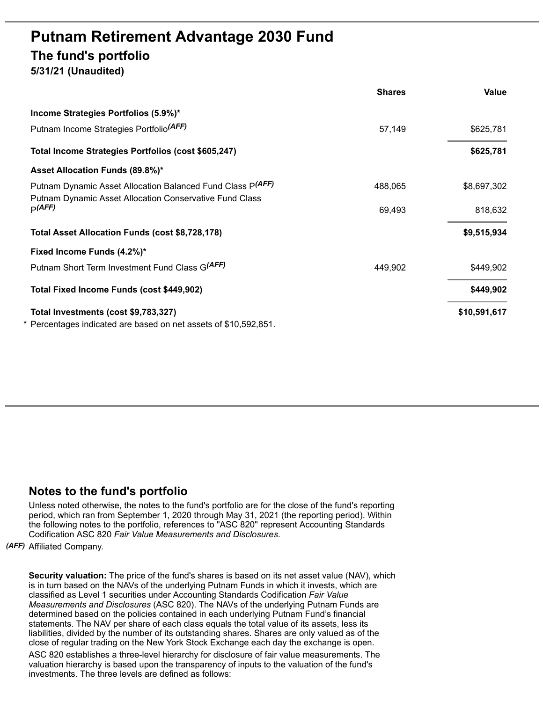## **Putnam Retirement Advantage 2030 Fund The fund's portfolio**

**5/31/21 (Unaudited)**

|                                                                                                                       | <b>Shares</b> | Value        |
|-----------------------------------------------------------------------------------------------------------------------|---------------|--------------|
| Income Strategies Portfolios (5.9%)*                                                                                  |               |              |
| Putnam Income Strategies Portfolio <sup>(AFF)</sup>                                                                   | 57,149        | \$625,781    |
| Total Income Strategies Portfolios (cost \$605,247)                                                                   |               | \$625,781    |
| Asset Allocation Funds (89.8%)*                                                                                       |               |              |
| Putnam Dynamic Asset Allocation Balanced Fund Class P(AFF)<br>Putnam Dynamic Asset Allocation Conservative Fund Class | 488,065       | \$8,697,302  |
| P(AFF)                                                                                                                | 69,493        | 818,632      |
| Total Asset Allocation Funds (cost \$8,728,178)                                                                       |               | \$9,515,934  |
| Fixed Income Funds (4.2%)*                                                                                            |               |              |
| Putnam Short Term Investment Fund Class G <sup>(AFF)</sup>                                                            | 449,902       | \$449,902    |
| Total Fixed Income Funds (cost \$449,902)                                                                             |               | \$449,902    |
| Total Investments (cost \$9,783,327)                                                                                  |               | \$10,591,617 |
| * Percentages indicated are based on net assets of \$10,592,851.                                                      |               |              |

## **Notes to the fund's portfolio**

Unless noted otherwise, the notes to the fund's portfolio are for the close of the fund's reporting period, which ran from September 1, 2020 through May 31, 2021 (the reporting period). Within the following notes to the portfolio, references to "ASC 820" represent Accounting Standards Codification ASC 820 *Fair Value Measurements and Disclosures*.

*(AFF)* Affiliated Company.

**Security valuation:** The price of the fund's shares is based on its net asset value (NAV), which is in turn based on the NAVs of the underlying Putnam Funds in which it invests, which are classified as Level 1 securities under Accounting Standards Codification *Fair Value Measurements and Disclosures* (ASC 820). The NAVs of the underlying Putnam Funds are determined based on the policies contained in each underlying Putnam Fund's financial statements. The NAV per share of each class equals the total value of its assets, less its liabilities, divided by the number of its outstanding shares. Shares are only valued as of the close of regular trading on the New York Stock Exchange each day the exchange is open. ASC 820 establishes a three-level hierarchy for disclosure of fair value measurements. The valuation hierarchy is based upon the transparency of inputs to the valuation of the fund's investments. The three levels are defined as follows: